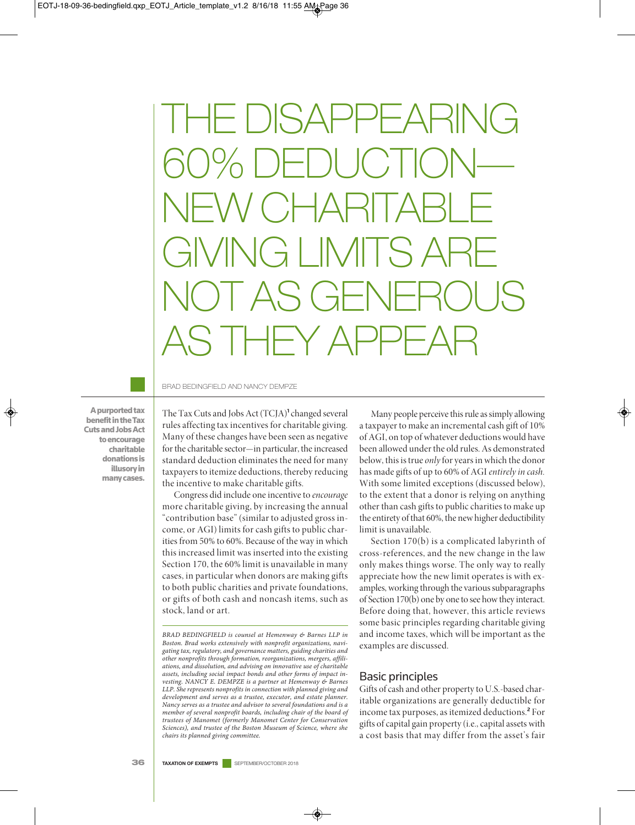THE DISAPPEARING 60% DEDUCTION— NEW CHARITABLE GIVING LIMITS ARE NOT AS GENEROUS AS THEY APPEAR

A purported tax benefit in the Tax Cuts and Jobs Act to encourage charitable donations is illusory in many cases.

BRAD BEDINGFIELD AND NANCY DEMPZE

The Tax Cuts and Jobs Act (TCJA)**<sup>1</sup>** changed several rules affecting tax incentives for charitable giving. Many of these changes have been seen as negative for the charitable sector—in particular, the increased standard deduction eliminates the need for many taxpayers to itemize deductions, thereby reducing the incentive to make charitable gifts.

Congress did include one incentive to *encourage* more charitable giving, by increasing the annual "contribution base" (similar to adjusted gross income, or AGI) limits for cash gifts to public charities from 50% to 60%. Because of the way in which this increased limit was inserted into the existing Section 170, the 60% limit is unavailable in many cases, in particular when donors are making gifts to both public charities and private foundations, or gifts of both cash and noncash items, such as stock, land or art.

Many people perceive this rule as simply allowing a taxpayer to make an incremental cash gift of 10% of AGI, on top of whatever deductions would have been allowed under the old rules. As demonstrated below, this is true *only*for years in which the donor has made gifts of up to 60% of AGI *entirely in cash.* With some limited exceptions (discussed below), to the extent that a donor is relying on anything other than cash gifts to public charities to make up the entirety of that 60%, the new higher deductibility limit is unavailable.

Section 170(b) is a complicated labyrinth of cross-references, and the new change in the law only makes things worse. The only way to really appreciate how the new limit operates is with examples, working through the various subparagraphs of Section 170(b) one by one to see how they interact. Before doing that, however, this article reviews some basic principles regarding charitable giving and income taxes, which will be important as the examples are discussed.

#### Basic principles

Gifts of cash and other property to U.S.-based charitable organizations are generally deductible for income tax purposes, as itemized deductions.**<sup>2</sup>** For gifts of capital gain property (i.e., capital assets with a cost basis that may differ from the asset's fair

*BRAD BEDINGFIELD is counsel at Hemenway & Barnes LLP in Boston. Brad works extensively with nonprofit organizations, navigating tax, regulatory, and governance matters, guiding charities and other nonprofits through formation, reorganizations, mergers, affiliations, and dissolution, and advising on innovative use of charitable assets, including social impact bonds and other forms of impact investing. NANCY E. DEMPZE is a partner at Hemenway & Barnes LLP. She represents nonprofits in connection with planned giving and development and serves as a trustee, executor, and estate planner. Nancy serves as a trustee and advisor to several foundations and is a member of several nonprofit boards, including chair of the board of trustees of Manomet (formerly Manomet Center for Conservation Sciences), and trustee of the Boston Museum of Science, where she chairs its planned giving committee.*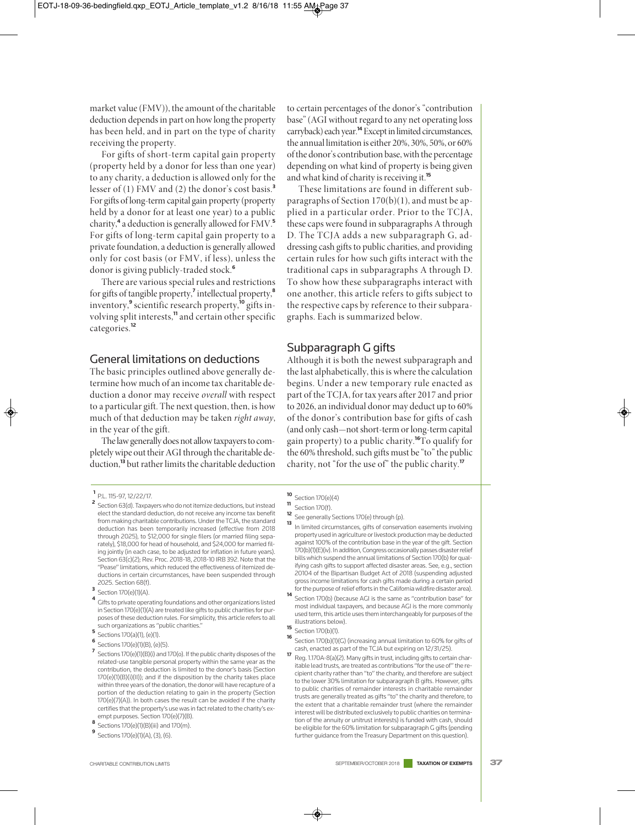market value (FMV)), the amount of the charitable deduction depends in part on how long the property has been held, and in part on the type of charity receiving the property.

For gifts of short-term capital gain property (property held by a donor for less than one year) to any charity, a deduction is allowed only for the lesser of (1) FMV and (2) the donor's cost basis.**<sup>3</sup>** For gifts of long-term capital gain property (property held by a donor for at least one year) to a public charity,**<sup>4</sup>** a deduction is generally allowed for FMV.**<sup>5</sup>** For gifts of long-term capital gain property to a private foundation, a deduction is generally allowed only for cost basis (or FMV, if less), unless the donor is giving publicly-traded stock.**<sup>6</sup>**

There are various special rules and restrictions for gifts of tangible property,**<sup>7</sup>** intellectual property,**<sup>8</sup>** inventory,**<sup>9</sup>** scientific research property,**<sup>10</sup>** gifts involving split interests,<sup>11</sup> and certain other specific categories.**<sup>12</sup>**

#### General limitations on deductions

The basic principles outlined above generally determine how much of an income tax charitable deduction a donor may receive *overall* with respect to a particular gift. The next question, then, is how much of that deduction may be taken *right away*, in the year of the gift.

The law generally does not allow taxpayers to completely wipe out their AGI through the charitable deduction,**<sup>13</sup>** but rather limits the charitable deduction

- **<sup>2</sup>** Section 63(d). Taxpayers who do not itemize deductions, but instead elect the standard deduction, do not receive any income tax benefit from making charitable contributions. Under the TCJA, the standard deduction has been temporarily increased (effective from 2018 through 2025), to \$12,000 for single filers (or married filing separately), \$18,000 for head of household, and \$24,000 for married filing jointly (in each case, to be adjusted for inflation in future years). Section 63(c)(2); Rev. Proc. 2018-18, 2018-10 IRB 392. Note that the "Pease" limitations, which reduced the effectiveness of itemized deductions in certain circumstances, have been suspended through 2025. Section 68(f).
- **3** Section 170(e)(1)(A).
- **<sup>4</sup>** Gifts to private operating foundations and other organizations listed in Section 170(e)(1)(A) are treated like gifts to public charities for purposes of these deduction rules. For simplicity, this article refers to all such organizations as "public charities."
- **<sup>5</sup>** Sections 170(a)(1), (e)(1).
- **<sup>6</sup>** Sections 170(e)(1)(B), (e)(5).
- **<sup>7</sup>** Sections 170(e)(1)(B)(i) and 170(o). If the public charity disposes of the related-use tangible personal property within the same year as the contribution, the deduction is limited to the donor's basis (Section 170(e)(1)(B)(i)(II)); and if the disposition by the charity takes place within three years of the donation, the donor will have recapture of a portion of the deduction relating to gain in the property (Section 170(e)(7)(A)). In both cases the result can be avoided if the charity certifies that the property's use was in fact related to the charity's exempt purposes. Section 170(e)(7)(B).
- 
- **8** Sections 170(e)(1)(B)(iii) and 170(m).
- **<sup>9</sup>** Sections 170(e)(1)(A), (3), (6).

to certain percentages of the donor's "contribution base" (AGI without regard to any net operating loss carryback) each year.**<sup>14</sup>** Except in limited circumstances, the annual limitation is either 20%, 30%, 50%, or 60% of the donor's contribution base, with the percentage depending on what kind of property is being given and what kind of charity is receiving it.**<sup>15</sup>**

These limitations are found in different subparagraphs of Section 170(b)(1), and must be applied in a particular order. Prior to the TCJA, these caps were found in subparagraphs A through D. The TCJA adds a new subparagraph G, addressing cash gifts to public charities, and providing certain rules for how such gifts interact with the traditional caps in subparagraphs A through D. To show how these subparagraphs interact with one another, this article refers to gifts subject to the respective caps by reference to their subparagraphs. Each is summarized below.

## Subparagraph G gifts

Although it is both the newest subparagraph and the last alphabetically, this is where the calculation begins. Under a new temporary rule enacted as part of the TCJA, for tax years after 2017 and prior to 2026, an individual donor may deduct up to 60% of the donor's contribution base for gifts of cash (and only cash—not short-term or long-term capital gain property) to a public charity.**<sup>16</sup>**To qualify for the 60% threshold, such gifts must be "to" the public charity, not "for the use of" the public charity.**<sup>17</sup>**

- **<sup>10</sup>** Section 170(e)(4)
- **<sup>11</sup>** Section 170(f).
- **<sup>12</sup>** See generally Sections 170(e) through (p).
- **<sup>13</sup>** In limited circumstances, gifts of conservation easements involving property used in agriculture or livestock production may be deducted against 100% of the contribution base in the year of the gift. Section 170(b)(1)(E)(iv). In addition, Congress occasionally passes disaster relief bills which suspend the annual limitations of Section 170(b) for qualifying cash gifts to support affected disaster areas. See, e.g., section 20104 of the Bipartisan Budget Act of 2018 (suspending adjusted gross income limitations for cash gifts made during a certain period for the purpose of relief efforts in the California wildfire disaster area).
- **<sup>14</sup>** Section 170(b) (because AGI is the same as "contribution base" for most individual taxpayers, and because AGI is the more commonly used term, this article uses them interchangeably for purposes of the illustrations below).
- **15** Section 170(b)(1).<br>**16** Section 170(b)(1)(
- Section 170(b)(1)(G) (increasing annual limitation to 60% for gifts of cash, enacted as part of the TCJA but expiring on 12/31/25).
- **<sup>17</sup>** Reg. 1.170A-8(a)(2). Many gifts in trust, including gifts to certain charitable lead trusts, are treated as contributions "for the use of" the recipient charity rather than "to" the charity, and therefore are subject to the lower 30% limitation for subparagraph B gifts. However, gifts to public charities of remainder interests in charitable remainder trusts are generally treated as gifts "to" the charity and therefore, to the extent that a charitable remainder trust (where the remainder interest will be distributed exclusively to public charities on termination of the annuity or unitrust interests) is funded with cash, should be eligible for the 60% limitation for subparagraph G gifts (pending further guidance from the Treasury Department on this question).

**<sup>1</sup>** P.L. 115-97, 12/22/17.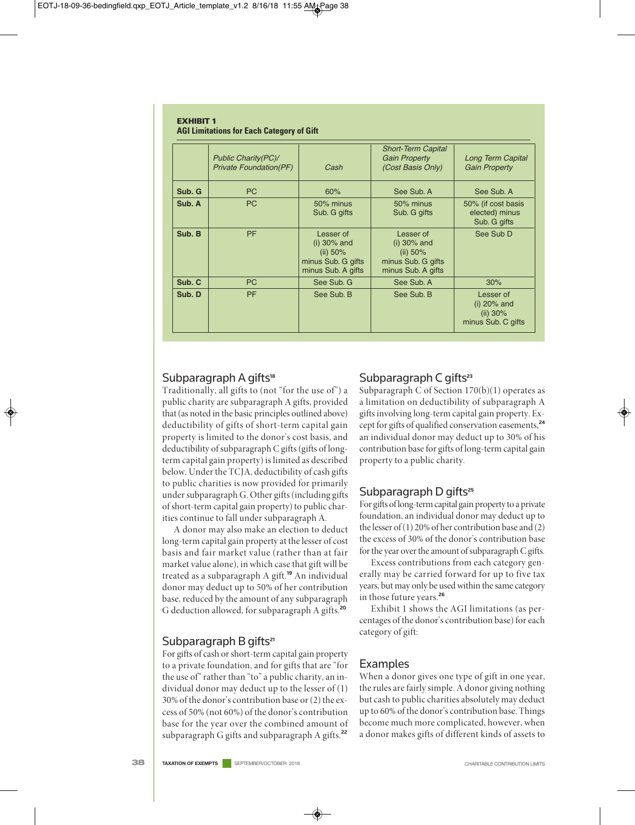#### **EXHIBIT 1 AGI Limitations for Each Category of Gift**

|        | <b>Public Charity(PC)/</b><br><b>Private Foundation(PF)</b> | Cash                                                                                  | <b>Short-Term Capital</b><br><b>Gain Property</b><br>(Cost Basis Only)                | Long Term Capital<br><b>Gain Property</b>                       |
|--------|-------------------------------------------------------------|---------------------------------------------------------------------------------------|---------------------------------------------------------------------------------------|-----------------------------------------------------------------|
| Sub. G | PC                                                          | 60%                                                                                   | See Sub, A                                                                            | See Sub, A                                                      |
| Sub. A | <b>PC</b>                                                   | 50% minus<br>Sub. G gifts                                                             | 50% minus<br>Sub. G gifts                                                             | 50% (if cost basis<br>elected) minus<br>Sub. G gifts            |
| Sub. B | <b>PF</b>                                                   | Lesser of<br>$(i)$ 30% and<br>(ii) $50\%$<br>minus Sub. G gifts<br>minus Sub. A gifts | Lesser of<br>$(i)$ 30% and<br>(ii) $50\%$<br>minus Sub. G gifts<br>minus Sub. A gifts | See Sub D                                                       |
| Sub. C | <b>PC</b>                                                   | See Sub. G                                                                            | See Sub, A                                                                            | 30%                                                             |
| Sub. D | <b>PF</b>                                                   | See Sub. B                                                                            | See Sub. B                                                                            | Lesser of<br>$(i)$ 20% and<br>(ii) $30\%$<br>minus Sub. C gifts |

## Subparagraph A gifts**<sup>18</sup>**

Traditionally, all gifts to (not "for the use of") a public charity are subparagraph A gifts, provided that (as noted in the basic principles outlined above) deductibility of gifts of short-term capital gain property is limited to the donor's cost basis, and deductibility of subparagraph C gifts (gifts of longterm capital gain property) is limited as described below. Under the TCJA, deductibility of cash gifts to public charities is now provided for primarily under subparagraph G. Other gifts (including gifts of short-term capital gain property) to public charities continue to fall under subparagraph A.

A donor may also make an election to deduct long-term capital gain property at the lesser of cost basis and fair market value (rather than at fair market value alone), in which case that gift will be treated as a subparagraph A gift.**<sup>19</sup>** An individual donor may deduct up to 50% of her contribution base, reduced by the amount of any subparagraph G deduction allowed, for subparagraph A gifts.**<sup>20</sup>**

#### Subparagraph B gifts**<sup>21</sup>**

For gifts of cash or short-term capital gain property to a private foundation, and for gifts that are "for the use of" rather than "to" a public charity, an individual donor may deduct up to the lesser of (1) 30% of the donor's contribution base or (2) the excess of 50% (not 60%) of the donor's contribution base for the year over the combined amount of subparagraph G gifts and subparagraph A gifts.**<sup>22</sup>**

## Subparagraph C gifts**<sup>23</sup>**

Subparagraph C of Section  $170(b)(1)$  operates as a limitation on deductibility of subparagraph A gifts involving long-term capital gain property. Except for gifts of qualified conservation easements,**<sup>24</sup>** an individual donor may deduct up to 30% of his contribution base for gifts of long-term capital gain property to a public charity.

#### Subparagraph D gifts**<sup>25</sup>**

For gifts of long-term capital gain property to a private foundation, an individual donor may deduct up to the lesser of (1) 20% of her contribution base and (2) the excess of 30% of the donor's contribution base for the year over the amount of subparagraph C gifts.

Excess contributions from each category generally may be carried forward for up to five tax years, but may only be used within the same category in those future years.**<sup>26</sup>**

Exhibit 1 shows the AGI limitations (as percentages of the donor's contribution base) for each category of gift:

# Examples

When a donor gives one type of gift in one year, the rules are fairly simple. A donor giving nothing but cash to public charities absolutely may deduct up to 60% of the donor's contribution base. Things become much more complicated, however, when a donor makes gifts of different kinds of assets to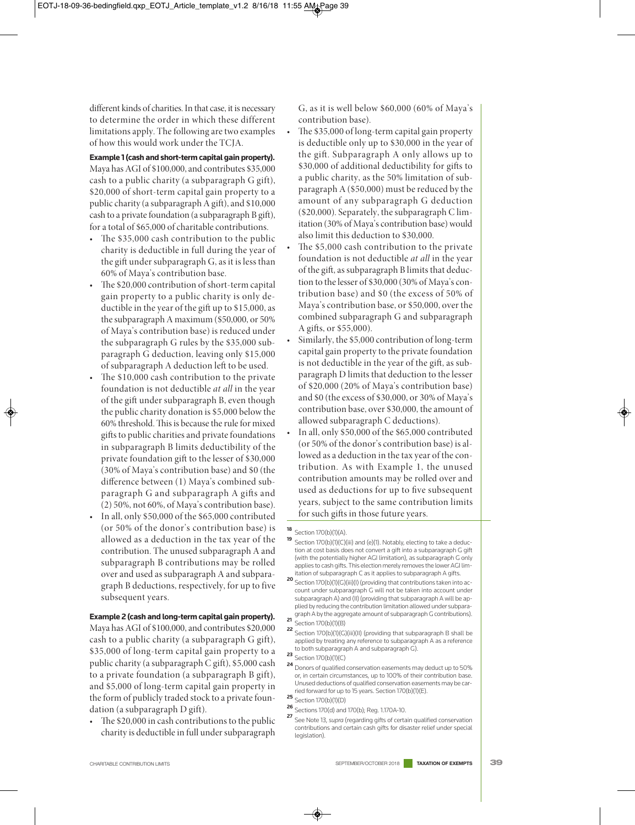different kinds of charities. In that case, it is necessary to determine the order in which these different limitations apply. The following are two examples of how this would work under the TCJA.

**Example 1 (cash and short-term capital gain property).**  Maya has AGI of \$100,000, and contributes \$35,000 cash to a public charity (a subparagraph G gift), \$20,000 of short-term capital gain property to a public charity (a subparagraph A gift), and \$10,000 cash to a private foundation (a subparagraph B gift), for a total of \$65,000 of charitable contributions.

- The  $$35,000$  cash contribution to the public charity is deductible in full during the year of the gift under subparagraph G, as it is less than 60% of Maya's contribution base.
- The \$20,000 contribution of short-term capital gain property to a public charity is only deductible in the year of the gift up to  $$15,000$ , as the subparagraph A maximum (\$50,000, or 50% of Maya's contribution base) is reduced under the subparagraph G rules by the \$35,000 subparagraph G deduction, leaving only \$15,000 of subparagraph A deduction left to be used.
- The \$10,000 cash contribution to the private foundation is not deductible *at all* in the year of the gift under subparagraph B, even though the public charity donation is \$5,000 below the 60% threshold. This is because the rule for mixed gifts to public charities and private foundations in subparagraph B limits deductibility of the private foundation gift to the lesser of \$30,000 (30% of Maya's contribution base) and \$0 (the difference between (1) Maya's combined subparagraph G and subparagraph A gifts and (2) 50%, not 60%, of Maya's contribution base).
- In all, only \$50,000 of the \$65,000 contributed (or 50% of the donor's contribution base) is allowed as a deduction in the tax year of the contribution. The unused subparagraph A and subparagraph B contributions may be rolled over and used as subparagraph A and subparagraph B deductions, respectively, for up to five subsequent years.

#### **Example 2 (cash and long-term capital gain property).**

Maya has AGI of \$100,000, and contributes \$20,000 cash to a public charity (a subparagraph G gift), \$35,000 of long-term capital gain property to a public charity (a subparagraph C gift), \$5,000 cash to a private foundation (a subparagraph B gift), and \$5,000 of long-term capital gain property in the form of publicly traded stock to a private foundation (a subparagraph D gift).

The \$20,000 in cash contributions to the public charity is deductible in full under subparagraph

G, as it is well below \$60,000 (60% of Maya's contribution base).

- The \$35,000 of long-term capital gain property is deductible only up to \$30,000 in the year of the gift. Subparagraph A only allows up to \$30,000 of additional deductibility for gifts to a public charity, as the 50% limitation of subparagraph A (\$50,000) must be reduced by the amount of any subparagraph G deduction (\$20,000). Separately, the subparagraph C limitation (30% of Maya's contribution base) would also limit this deduction to \$30,000.
	- The \$5,000 cash contribution to the private foundation is not deductible *at all* in the year of the gift, as subparagraph B limits that deduction to the lesser of \$30,000 (30% of Maya's contribution base) and \$0 (the excess of 50% of Maya's contribution base, or \$50,000, over the combined subparagraph G and subparagraph A gifts, or \$55,000).
	- Similarly, the \$5,000 contribution of long-term capital gain property to the private foundation is not deductible in the year of the gift, as subparagraph D limits that deduction to the lesser of \$20,000 (20% of Maya's contribution base) and \$0 (the excess of \$30,000, or 30% of Maya's contribution base, over \$30,000, the amount of allowed subparagraph C deductions).
	- In all, only \$50,000 of the \$65,000 contributed (or 50% of the donor's contribution base) is allowed as a deduction in the tax year of the contribution. As with Example 1, the unused contribution amounts may be rolled over and used as deductions for up to five subsequent years, subject to the same contribution limits for such gifts in those future years.

## **<sup>18</sup>** Section 170(b)(1)(A).

- **19** Section 170(b)(1)(C)(iii) and (e)(1). Notably, electing to take a deduction at cost basis does not convert a gift into a subparagraph G gift (with the potentially higher AGI limitation), as subparagraph G only applies to cash gifts. This election merely removes the lower AGI limitation of subparagraph C as it applies to subparagraph A gifts.
- **20** Section 170(b)(1)(G)(iii)(l) (providing that contributions taken into ac-<br>**20** Section 170(b)(1)(G)(iii)(l) (providing that contributions taken into account under subparagraph G will not be taken into account under subparagraph A) and (II) (providing that subparagraph A will be applied by reducing the contribution limitation allowed under subparagraph A by the aggregate amount of subparagraph G contributions).
- **21** Section 170(b)(1)(B)
- **22** Section 170(b)(1)(G)(iii)(II) (providing that subparagraph B shall be<br>example a section 170(b)(1)(G)(iii)(II) (providing that subparagraph B shall be applied by treating any reference to subparagraph A as a reference to both subparagraph A and subparagraph G).
- **23** Section 170(b)(1)(C)
- **<sup>24</sup>** Donors of qualified conservation easements may deduct up to 50% or, in certain circumstances, up to 100% of their contribution base. Unused deductions of qualified conservation easements may be carried forward for up to 15 years. Section 170(b)(1)(E).
- **<sup>25</sup>** Section 170(b)(1)(D)
- **<sup>26</sup>** Sections 170(d) and 170(b); Reg. 1.170A-10.
- **<sup>27</sup>** See Note 13, *supra* (regarding gifts of certain qualified conservation contributions and certain cash gifts for disaster relief under special legislation).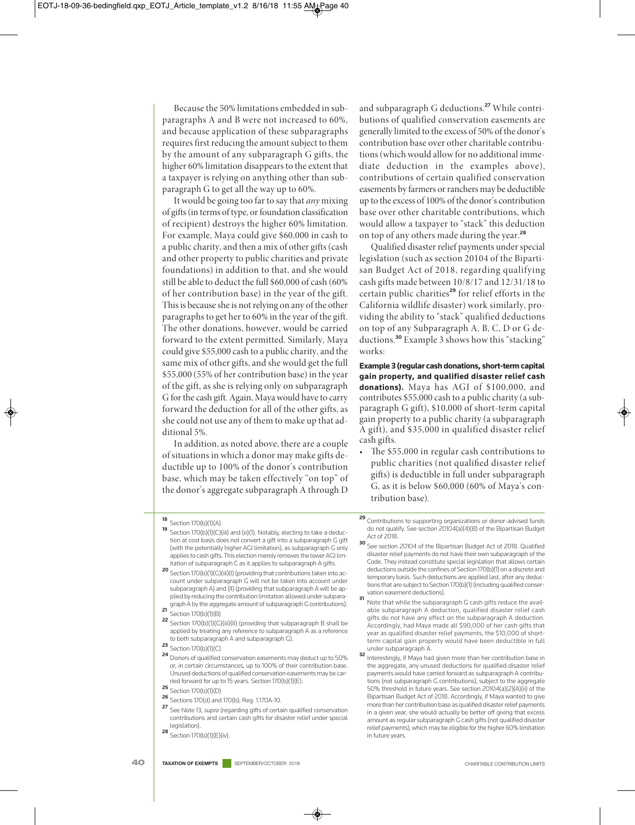Because the 50% limitations embedded in subparagraphs A and B were not increased to 60%, and because application of these subparagraphs requires first reducing the amount subject to them by the amount of any subparagraph G gifts, the higher 60% limitation disappears to the extent that a taxpayer is relying on anything other than subparagraph G to get all the way up to 60%.

It would be going too far to say that *any* mixing of gifts (in terms of type, or foundation classification of recipient) destroys the higher 60% limitation. For example, Maya could give \$60,000 in cash to a public charity, and then a mix of other gifts (cash and other property to public charities and private foundations) in addition to that, and she would still be able to deduct the full \$60,000 of cash (60% of her contribution base) in the year of the gift. This is because she is not relying on any of the other paragraphs to get her to 60% in the year of the gift. The other donations, however, would be carried forward to the extent permitted. Similarly, Maya could give \$55,000 cash to a public charity, and the same mix of other gifts, and she would get the full \$55,000 (55% of her contribution base) in the year of the gift, as she is relying only on subparagraph G for the cash gift. Again, Maya would have to carry forward the deduction for all of the other gifts, as she could not use any of them to make up that additional 5%.

In addition, as noted above, there are a couple of situations in which a donor may make gifts deductible up to 100% of the donor's contribution base, which may be taken effectively "on top" of the donor's aggregate subparagraph A through D

and subparagraph G deductions.**<sup>27</sup>** While contributions of qualified conservation easements are generally limited to the excess of 50% of the donor's contribution base over other charitable contributions (which would allow for no additional immediate deduction in the examples above), contributions of certain qualified conservation easements by farmers or ranchers may be deductible up to the excess of 100% of the donor's contribution base over other charitable contributions, which would allow a taxpayer to "stack" this deduction on top of any others made during the year.**<sup>28</sup>**

Qualified disaster relief payments under special legislation (such as section 20104 of the Bipartisan Budget Act of 2018, regarding qualifying cash gifts made between 10/8/17 and 12/31/18 to certain public charities**<sup>29</sup>** for relief efforts in the California wildlife disaster) work similarly, providing the ability to "stack" qualified deductions on top of any Subparagraph A, B, C, D or G deductions.**<sup>30</sup>** Example 3 shows how this "stacking" works:

**Example 3 (regular cash donations, short-term capital gain property, and qualified disaster relief cash donations).** Maya has AGI of \$100,000, and contributes \$55,000 cash to a public charity (a subparagraph G gift), \$10,000 of short-term capital gain property to a public charity (a subparagraph A gift), and \$35,000 in qualified disaster relief cash gifts.

The \$55,000 in regular cash contributions to public charities (not qualified disaster relief gifts) is deductible in full under subparagraph G, as it is below \$60,000 (60% of Maya's contribution base).

- **<sup>19</sup>** Section 170(b)(1)(C)(iii) and (e)(1). Notably, electing to take a deduction at cost basis does not convert a gift into a subparagraph G gift (with the potentially higher AGI limitation), as subparagraph G only applies to cash gifts. This election merely removes the lower AGI limitation of subparagraph C as it applies to subparagraph A gifts.
- **20** Section 170(b)(1)(G)(iii)(l) (providing that contributions taken into account under subparagraph G will not be taken into account under subparagraph A) and (II) (providing that subparagraph A will be applied by reducing the contribution limitation allowed under subparagraph A by the aggregate amount of subparagraph G contributions).
- **<sup>21</sup>** Section 170(b)(1)(B)
- **<sup>22</sup>** Section 170(b)(1)(G)(iii)(II) (providing that subparagraph B shall be applied by treating any reference to subparagraph A as a reference to both subparagraph A and subparagraph G).
- **<sup>23</sup>** Section 170(b)(1)(C)
- **<sup>24</sup>** Donors of qualified conservation easements may deduct up to 50% or, in certain circumstances, up to 100% of their contribution base. Unused deductions of qualified conservation easements may be carried forward for up to 15 years. Section 170(b)(1)(E). **<sup>25</sup>** Section 170(b)(1)(D)
- 
- **<sup>26</sup>** Sections 170(d) and 170(b); Reg. 1.170A-10.
- **<sup>27</sup>** See Note 13, *supra* (regarding gifts of certain qualified conservation contributions and certain cash gifts for disaster relief under special legislation).
- **28** Section 170(b)(1)(E)(iv).
- **<sup>29</sup>** Contributions to supporting organizations or donor-advised funds do not qualify. See section 20104(a)(4)(B) of the Bipartisan Budget Act of 2018.
- **<sup>30</sup>** See section 20104 of the Bipartisan Budget Act of 2018. Qualified disaster relief payments do not have their own subparagraph of the Code. They instead constitute special legislation that allows certain deductions outside the confines of Section 170(b)(1) on a discrete and temporary basis. Such deductions are applied last, after any deductions that are subject to Section 170(b)(1) (including qualified conservation easement deductions).
- **31** Note that while the subparagraph G cash gifts reduce the available subparagraph A deduction, qualified disaster relief cash gifts do not have any effect on the subparagraph A deduction. Accordingly, had Maya made all \$90,000 of her cash gifts that year as qualified disaster relief payments, the \$10,000 of shortterm capital gain property would have been deductible in full under subparagraph A.
- **32** Interestingly, if Maya had given more than her contribution base in the aggregate, any unused deductions for qualified disaster relief payments would have carried forward as subparagraph A contributions (not subparagraph G contributions), subject to the aggregate 50% threshold in future years. See section 20104(a)(2)(A)(ii) of the Bipartisan Budget Act of 2018. Accordingly, if Maya wanted to give more than her contribution base as qualified disaster relief payments in a given year, she would actually be better off giving that excess amount as regular subparagraph G cash gifts (not qualified disaster relief payments), which may be eligible for the higher 60% limitation in future years.

**<sup>18</sup>** Section 170(b)(1)(A).